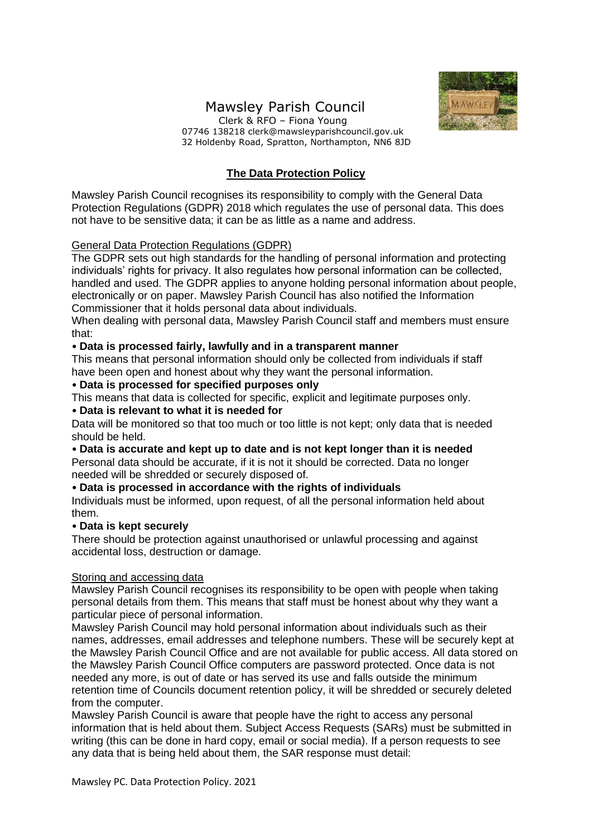# Mawsley Parish Council



 Clerk & RFO – Fiona Young 07746 138218 clerk@mawsleyparishcouncil.gov.uk 32 Holdenby Road, Spratton, Northampton, NN6 8JD

# **The Data Protection Policy**

Mawsley Parish Council recognises its responsibility to comply with the General Data Protection Regulations (GDPR) 2018 which regulates the use of personal data. This does not have to be sensitive data; it can be as little as a name and address.

### General Data Protection Regulations (GDPR)

The GDPR sets out high standards for the handling of personal information and protecting individuals' rights for privacy. It also regulates how personal information can be collected, handled and used. The GDPR applies to anyone holding personal information about people, electronically or on paper. Mawsley Parish Council has also notified the Information Commissioner that it holds personal data about individuals.

When dealing with personal data, Mawsley Parish Council staff and members must ensure that:

### • **Data is processed fairly, lawfully and in a transparent manner**

This means that personal information should only be collected from individuals if staff have been open and honest about why they want the personal information.

### • **Data is processed for specified purposes only**

This means that data is collected for specific, explicit and legitimate purposes only.

### • **Data is relevant to what it is needed for**

Data will be monitored so that too much or too little is not kept; only data that is needed should be held.

## • **Data is accurate and kept up to date and is not kept longer than it is needed**

Personal data should be accurate, if it is not it should be corrected. Data no longer needed will be shredded or securely disposed of.

### • **Data is processed in accordance with the rights of individuals**

Individuals must be informed, upon request, of all the personal information held about them.

#### • **Data is kept securely**

There should be protection against unauthorised or unlawful processing and against accidental loss, destruction or damage.

#### Storing and accessing data

Mawsley Parish Council recognises its responsibility to be open with people when taking personal details from them. This means that staff must be honest about why they want a particular piece of personal information.

Mawsley Parish Council may hold personal information about individuals such as their names, addresses, email addresses and telephone numbers. These will be securely kept at the Mawsley Parish Council Office and are not available for public access. All data stored on the Mawsley Parish Council Office computers are password protected. Once data is not needed any more, is out of date or has served its use and falls outside the minimum retention time of Councils document retention policy, it will be shredded or securely deleted from the computer.

Mawsley Parish Council is aware that people have the right to access any personal information that is held about them. Subject Access Requests (SARs) must be submitted in writing (this can be done in hard copy, email or social media). If a person requests to see any data that is being held about them, the SAR response must detail: